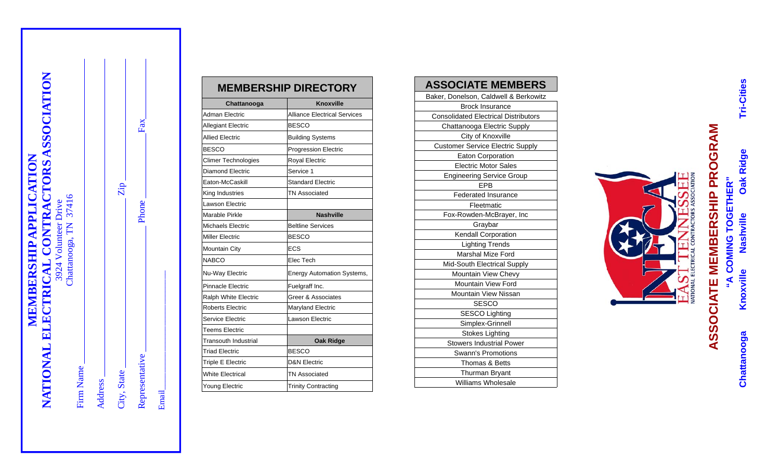| NATIONAL ELECTRICAL CONTRACTORS ASSOCIATION<br><b>MEMBERSHIP APPLICATION</b> | Chattanooga, TN 37416<br>3924 Volunteer Drive | Firm Name | <b>Address</b> | Zip.<br>City, State | Fax<br>Phone<br>Representative |
|------------------------------------------------------------------------------|-----------------------------------------------|-----------|----------------|---------------------|--------------------------------|
|                                                                              |                                               |           |                |                     |                                |

Email\_\_\_\_\_\_\_\_\_\_\_\_\_\_\_\_\_\_\_\_\_\_\_\_\_\_\_\_

Email

|                             | <b>MEMBERSHIP DIRECTORY</b>         | <b>ASSOCIATE MEMBERS</b>                                  |
|-----------------------------|-------------------------------------|-----------------------------------------------------------|
| Chattanooga                 | <b>Knoxville</b>                    | Baker, Donelson, Caldwell & Berkowitz                     |
| <b>Adman Electric</b>       | <b>Alliance Electrical Services</b> | <b>Brock Insurance</b>                                    |
|                             |                                     | <b>Consolidated Electrical Distributors</b>               |
| <b>Allegiant Electric</b>   | <b>BESCO</b>                        | Chattanooga Electric Supply                               |
| <b>Allied Electric</b>      | <b>Building Systems</b>             | City of Knoxville                                         |
| <b>BESCO</b>                | <b>Progression Electric</b>         | <b>Customer Service Electric Supply</b>                   |
| <b>Climer Technologies</b>  | Royal Electric                      | <b>Eaton Corporation</b><br><b>Electric Motor Sales</b>   |
| Diamond Electric            | Service 1                           | <b>Engineering Service Group</b>                          |
| Eaton-McCaskill             | <b>Standard Electric</b>            | EPB                                                       |
| King Industries             | <b>TN Associated</b>                | <b>Federated Insurance</b>                                |
| Lawson Electric             |                                     | Fleetmatic                                                |
| Marable Pirkle              | <b>Nashville</b>                    | Fox-Rowden-McBrayer, Inc                                  |
| Michaels Electric           | <b>Beltline Services</b>            | Graybar                                                   |
| <b>Miller Electric</b>      | <b>BESCO</b>                        | Kendall Corporation                                       |
| <b>Mountain City</b>        | <b>ECS</b>                          | <b>Lighting Trends</b>                                    |
| <b>NABCO</b>                | Elec Tech                           | Marshal Mize Ford                                         |
|                             |                                     | Mid-South Electrical Supply                               |
| Nu-Way Electric             | <b>Energy Automation Systems,</b>   | Mountain View Chevy                                       |
| Pinnacle Electric           | Fuelgraff Inc.                      | Mountain View Ford                                        |
| Ralph White Electric        | Greer & Associates                  | Mountain View Nissan                                      |
| Roberts Electric            | <b>Maryland Electric</b>            | <b>SESCO</b>                                              |
| Service Electric            | Lawson Electric                     | <b>SESCO Lighting</b>                                     |
| Teems Electric              |                                     | Simplex-Grinnell                                          |
| <b>Transouth Industrial</b> | <b>Oak Ridge</b>                    | <b>Stokes Lighting</b><br><b>Stowers Industrial Power</b> |
| Triad Flectric              | <b>BESCO</b>                        | <b>Swann's Promotions</b>                                 |
| Triple E Electric           | <b>D&amp;N Electric</b>             | Thomas & Betts                                            |
| <b>White Electrical</b>     | <b>TN Associated</b>                | Thurman Bryant                                            |
| Young Electric              | <b>Trinity Contracting</b>          | <b>Williams Wholesale</b>                                 |
|                             |                                     |                                                           |

| <b>ASSOCIATE MEMBERS</b>                    |  |  |  |  |  |
|---------------------------------------------|--|--|--|--|--|
| Baker, Donelson, Caldwell & Berkowitz       |  |  |  |  |  |
| <b>Brock Insurance</b>                      |  |  |  |  |  |
| <b>Consolidated Electrical Distributors</b> |  |  |  |  |  |
| Chattanooga Electric Supply                 |  |  |  |  |  |
| City of Knoxville                           |  |  |  |  |  |
| <b>Customer Service Electric Supply</b>     |  |  |  |  |  |
| Eaton Corporation                           |  |  |  |  |  |
| <b>Electric Motor Sales</b>                 |  |  |  |  |  |
| <b>Engineering Service Group</b>            |  |  |  |  |  |
| <b>FPB</b>                                  |  |  |  |  |  |
| <b>Federated Insurance</b>                  |  |  |  |  |  |
| Fleetmatic                                  |  |  |  |  |  |
| Fox-Rowden-McBrayer, Inc                    |  |  |  |  |  |
| Graybar                                     |  |  |  |  |  |
| Kendall Corporation                         |  |  |  |  |  |
| <b>Lighting Trends</b>                      |  |  |  |  |  |
| <b>Marshal Mize Ford</b>                    |  |  |  |  |  |
| Mid-South Electrical Supply                 |  |  |  |  |  |
| Mountain View Chevy                         |  |  |  |  |  |
| <b>Mountain View Ford</b>                   |  |  |  |  |  |
| <b>Mountain View Nissan</b>                 |  |  |  |  |  |
| <b>SESCO</b>                                |  |  |  |  |  |
| <b>SESCO Lighting</b>                       |  |  |  |  |  |
| Simplex-Grinnell                            |  |  |  |  |  |
| Stokes Lighting                             |  |  |  |  |  |
| <b>Stowers Industrial Power</b>             |  |  |  |  |  |
| Swann's Promotions                          |  |  |  |  |  |
| Thomas & Betts                              |  |  |  |  |  |
| <b>Thurman Bryant</b>                       |  |  |  |  |  |
| Williams Wholesale                          |  |  |  |  |  |



Oak Ridge

Knoxville

 **"A COMING TOGETHER"** 

"A COMING TOGETHER" Nashville